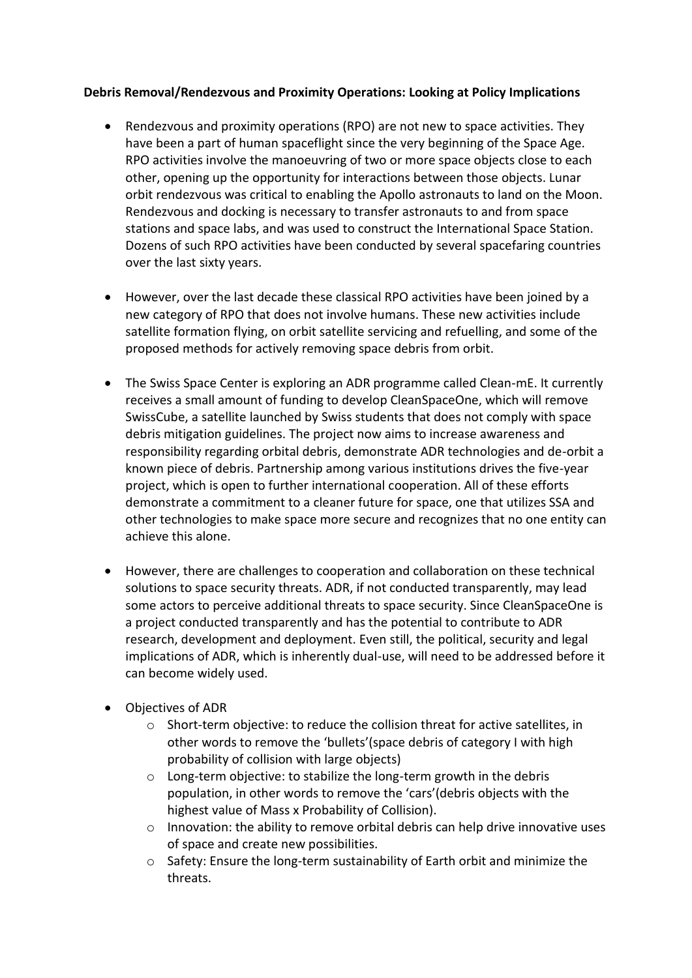## **Debris Removal/Rendezvous and Proximity Operations: Looking at Policy Implications**

- Rendezvous and proximity operations (RPO) are not new to space activities. They have been a part of human spaceflight since the very beginning of the Space Age. RPO activities involve the manoeuvring of two or more space objects close to each other, opening up the opportunity for interactions between those objects. Lunar orbit rendezvous was critical to enabling the Apollo astronauts to land on the Moon. Rendezvous and docking is necessary to transfer astronauts to and from space stations and space labs, and was used to construct the International Space Station. Dozens of such RPO activities have been conducted by several spacefaring countries over the last sixty years.
- However, over the last decade these classical RPO activities have been joined by a new category of RPO that does not involve humans. These new activities include satellite formation flying, on orbit satellite servicing and refuelling, and some of the proposed methods for actively removing space debris from orbit.
- The Swiss Space Center is exploring an ADR programme called Clean-mE. It currently receives a small amount of funding to develop CleanSpaceOne, which will remove SwissCube, a satellite launched by Swiss students that does not comply with space debris mitigation guidelines. The project now aims to increase awareness and responsibility regarding orbital debris, demonstrate ADR technologies and de-orbit a known piece of debris. Partnership among various institutions drives the five-year project, which is open to further international cooperation. All of these efforts demonstrate a commitment to a cleaner future for space, one that utilizes SSA and other technologies to make space more secure and recognizes that no one entity can achieve this alone.
- However, there are challenges to cooperation and collaboration on these technical solutions to space security threats. ADR, if not conducted transparently, may lead some actors to perceive additional threats to space security. Since CleanSpaceOne is a project conducted transparently and has the potential to contribute to ADR research, development and deployment. Even still, the political, security and legal implications of ADR, which is inherently dual-use, will need to be addressed before it can become widely used.
- Objectives of ADR
	- o Short-term objective: to reduce the collision threat for active satellites, in other words to remove the 'bullets'(space debris of category I with high probability of collision with large objects)
	- o Long-term objective: to stabilize the long-term growth in the debris population, in other words to remove the 'cars'(debris objects with the highest value of Mass x Probability of Collision).
	- $\circ$  Innovation: the ability to remove orbital debris can help drive innovative uses of space and create new possibilities.
	- o Safety: Ensure the long-term sustainability of Earth orbit and minimize the threats.